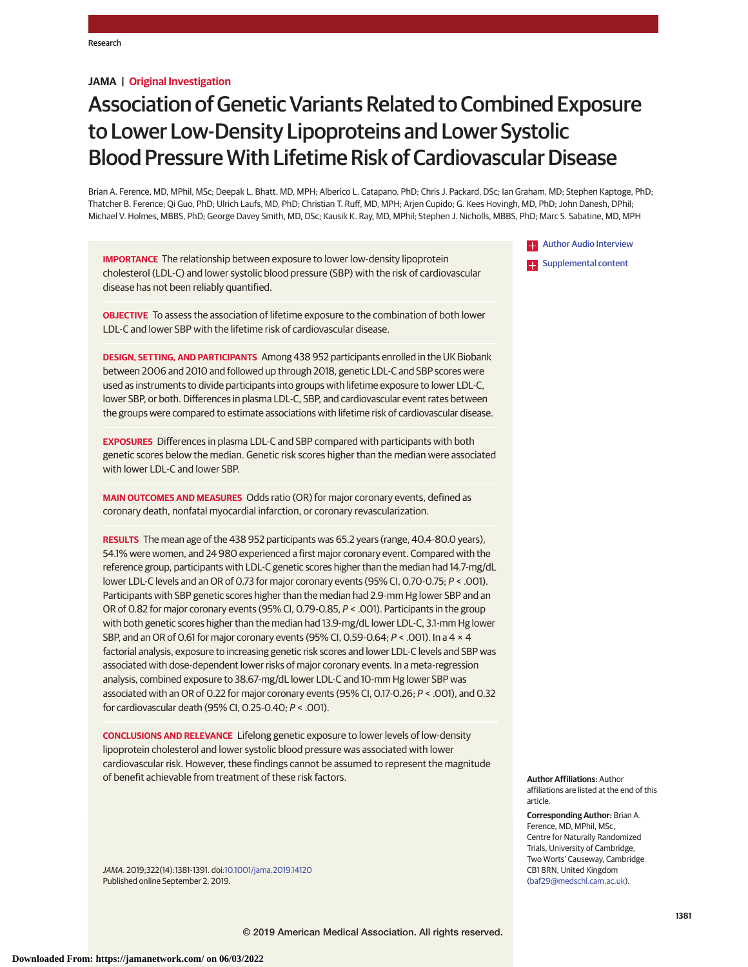## **JAMA | Original Investigation**

# Association of Genetic Variants Related to Combined Exposure to Lower Low-Density Lipoproteins and Lower Systolic Blood PressureWith Lifetime Risk of Cardiovascular Disease

Brian A. Ference, MD, MPhil, MSc; Deepak L. Bhatt, MD, MPH; Alberico L. Catapano, PhD; Chris J. Packard, DSc; Ian Graham, MD; Stephen Kaptoge, PhD; Thatcher B. Ference; Qi Guo, PhD; Ulrich Laufs, MD, PhD; Christian T. Ruff, MD, MPH; Arjen Cupido; G. Kees Hovingh, MD, PhD; John Danesh, DPhil; Michael V. Holmes, MBBS, PhD; George Davey Smith, MD, DSc; Kausik K. Ray, MD, MPhil; Stephen J. Nicholls, MBBS, PhD; Marc S. Sabatine, MD, MPH

**IMPORTANCE** The relationship between exposure to lower low-density lipoprotein cholesterol (LDL-C) and lower systolic blood pressure (SBP) with the risk of cardiovascular disease has not been reliably quantified.

**OBJECTIVE** To assess the association of lifetime exposure to the combination of both lower LDL-C and lower SBP with the lifetime risk of cardiovascular disease.

**DESIGN, SETTING, AND PARTICIPANTS** Among 438 952 participants enrolled in the UK Biobank between 2006 and 2010 and followed up through 2018, genetic LDL-C and SBP scores were used as instruments to divide participants into groups with lifetime exposure to lower LDL-C, lower SBP, or both. Differences in plasma LDL-C, SBP, and cardiovascular event rates between the groups were compared to estimate associations with lifetime risk of cardiovascular disease.

**EXPOSURES** Differences in plasma LDL-C and SBP compared with participants with both genetic scores below the median. Genetic risk scores higher than the median were associated with lower LDL-C and lower SBP.

**MAIN OUTCOMES AND MEASURES** Odds ratio (OR) for major coronary events, defined as coronary death, nonfatal myocardial infarction, or coronary revascularization.

**RESULTS** The mean age of the 438 952 participants was 65.2 years (range, 40.4-80.0 years), 54.1% were women, and 24 980 experienced a first major coronary event. Compared with the reference group, participants with LDL-C genetic scores higher than the median had 14.7-mg/dL lower LDL-C levels and an OR of 0.73 for major coronary events (95% CI, 0.70-0.75; P < .001). Participants with SBP genetic scores higher than the median had 2.9-mm Hg lower SBP and an OR of 0.82 for major coronary events (95% CI, 0.79-0.85, P < .001). Participants in the group with both genetic scores higher than the median had 13.9-mg/dL lower LDL-C, 3.1-mm Hg lower SBP, and an OR of 0.61 for major coronary events (95% CI, 0.59-0.64; P < .001). In a 4 × 4 factorial analysis, exposure to increasing genetic risk scores and lower LDL-C levels and SBP was associated with dose-dependent lower risks of major coronary events. In a meta-regression analysis, combined exposure to 38.67-mg/dL lower LDL-C and 10-mm Hg lower SBP was associated with an OR of 0.22 for major coronary events (95% CI, 0.17-0.26; P < .001), and 0.32 for cardiovascular death (95% CI, 0.25-0.40; P < .001).

**CONCLUSIONS AND RELEVANCE** Lifelong genetic exposure to lower levels of low-density lipoprotein cholesterol and lower systolic blood pressure was associated with lower cardiovascular risk. However, these findings cannot be assumed to represent the magnitude of benefit achievable from treatment of these risk factors.

JAMA. 2019;322(14):1381-1391. doi[:10.1001/jama.2019.14120](https://jama.jamanetwork.com/article.aspx?doi=10.1001/jama.2019.14120&utm_campaign=articlePDF%26utm_medium=articlePDFlink%26utm_source=articlePDF%26utm_content=jama.2019.14120) Published online September 2, 2019.

**Example 2** [Author Audio Interview](https://jamanetwork.com/learning/audio-player/10.1001/jama.2019.15953/?utm_campaign=articlePDF%26utm_medium=articlePDFlink%26utm_source=articlePDF%26utm_content=jama.2019.14120)

**Examplemental content** 

**Author Affiliations:** Author affiliations are listed at the end of this article.

**Corresponding Author:** Brian A. Ference, MD, MPhil, MSc, Centre for Naturally Randomized Trials, University of Cambridge, Two Worts' Causeway, Cambridge CB1 8RN, United Kingdom [\(baf29@medschl.cam.ac.uk\)](mailto:baf29@medschl.cam.ac.uk).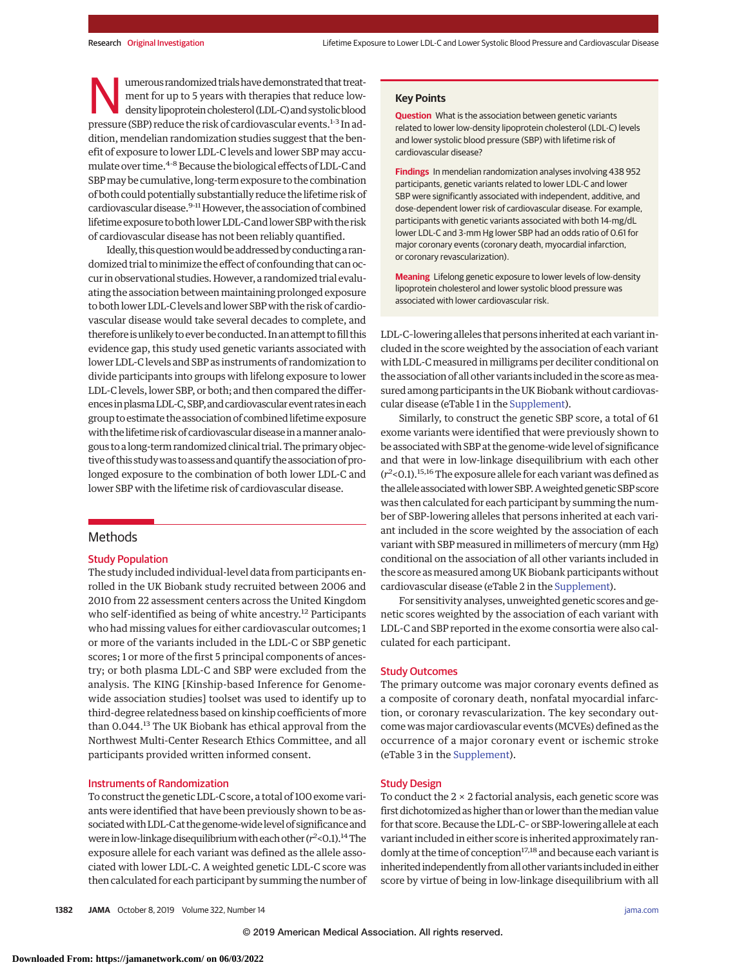werous randomized trials have demonstrated that treat-<br>
ment for up to 5 years with therapies that reduce low-<br>
density lipoprotein cholesterol (LDL-C) and systolic blood<br>
pressure (SBP) reduce the risk of cardiovascular o ment for up to 5 years with therapies that reduce lowpressure (SBP) reduce the risk of cardiovascular events.<sup>1-3</sup> In addition, mendelian randomization studies suggest that the benefit of exposure to lower LDL-C levels and lower SBP may accumulate over time.<sup>4-8</sup> Because the biological effects of LDL-C and SBPmay be cumulative, long-term exposure to the combination of both could potentially substantially reduce the lifetime risk of cardiovascular disease.<sup>9-11</sup> However, the association of combined lifetime exposure toboth lowerLDL-C and lower SBPwith the risk of cardiovascular disease has not been reliably quantified.

Ideally, this question would be addressed by conducting a randomized trial to minimize the effect of confounding that can occur in observational studies.However, a randomized trial evaluating the association between maintaining prolonged exposure to both lower LDL-C levels and lower SBPwith the risk of cardiovascular disease would take several decades to complete, and therefore is unlikely to ever be conducted. In an attempt to fill this evidence gap, this study used genetic variants associated with lower LDL-C levels and SBP as instruments of randomization to divide participants into groups with lifelong exposure to lower LDL-C levels, lower SBP, or both; and then compared the differences in plasma LDL-C, SBP, and cardiovascular event rates in each group to estimate the association of combined lifetime exposure with the lifetime risk of cardiovascular disease in a manner analogous to a long-term randomized clinical trial. The primary objective of this study was to assess and quantify the association of prolonged exposure to the combination of both lower LDL-C and lower SBP with the lifetime risk of cardiovascular disease.

## Methods

### Study Population

The study included individual-level data from participants enrolled in the UK Biobank study recruited between 2006 and 2010 from 22 assessment centers across the United Kingdom who self-identified as being of white ancestry.<sup>12</sup> Participants who had missing values for either cardiovascular outcomes; 1 or more of the variants included in the LDL-C or SBP genetic scores; 1 or more of the first 5 principal components of ancestry; or both plasma LDL-C and SBP were excluded from the analysis. The KING [Kinship-based Inference for Genomewide association studies] toolset was used to identify up to third-degree relatedness based on kinship coefficients of more than 0.044.<sup>13</sup> The UK Biobank has ethical approval from the Northwest Multi-Center Research Ethics Committee, and all participants provided written informed consent.

## Instruments of Randomization

To construct the genetic LDL-C score, a total of 100 exome variants were identified that have been previously shown to be associated with LDL-C at the genome-wide level of significance and were in low-linkage disequilibrium with each other ( $r^2$ <0.1).<sup>14</sup> The exposure allele for each variant was defined as the allele associated with lower LDL-C. A weighted genetic LDL-C score was then calculated for each participant by summing the number of

## **Key Points**

**Question** What is the association between genetic variants related to lower low-density lipoprotein cholesterol (LDL-C) levels and lower systolic blood pressure (SBP) with lifetime risk of cardiovascular disease?

**Findings** In mendelian randomization analyses involving 438 952 participants, genetic variants related to lower LDL-C and lower SBP were significantly associated with independent, additive, and dose-dependent lower risk of cardiovascular disease. For example, participants with genetic variants associated with both 14-mg/dL lower LDL-C and 3-mm Hg lower SBP had an odds ratio of 0.61 for major coronary events (coronary death, myocardial infarction, or coronary revascularization).

**Meaning** Lifelong genetic exposure to lower levels of low-density lipoprotein cholesterol and lower systolic blood pressure was associated with lower cardiovascular risk.

LDL-C–lowering alleles that persons inherited at each variant included in the score weighted by the association of each variant with LDL-C measured in milligrams per deciliter conditional on the association of all other variants included in the score as measured among participants in the UK Biobank without cardiovascular disease (eTable 1 in the [Supplement\)](https://jama.jamanetwork.com/article.aspx?doi=10.1001/jama.2019.14120&utm_campaign=articlePDF%26utm_medium=articlePDFlink%26utm_source=articlePDF%26utm_content=jama.2019.14120).

Similarly, to construct the genetic SBP score, a total of 61 exome variants were identified that were previously shown to be associated with SBP at the genome-wide level of significance and that were in low-linkage disequilibrium with each other (*r2* <0.1).15,16The exposure allele for each variant was defined as the allele associated with lower SBP. A weighted genetic SBP score was then calculated for each participant by summing the number of SBP-lowering alleles that persons inherited at each variant included in the score weighted by the association of each variant with SBP measured in millimeters of mercury (mm Hg) conditional on the association of all other variants included in the score as measured among UK Biobank participants without cardiovascular disease (eTable 2 in the [Supplement\)](https://jama.jamanetwork.com/article.aspx?doi=10.1001/jama.2019.14120&utm_campaign=articlePDF%26utm_medium=articlePDFlink%26utm_source=articlePDF%26utm_content=jama.2019.14120).

For sensitivity analyses, unweighted genetic scores and genetic scores weighted by the association of each variant with LDL-C and SBP reported in the exome consortia were also calculated for each participant.

## Study Outcomes

The primary outcome was major coronary events defined as a composite of coronary death, nonfatal myocardial infarction, or coronary revascularization. The key secondary outcome was major cardiovascular events (MCVEs) defined as the occurrence of a major coronary event or ischemic stroke (eTable 3 in the [Supplement\)](https://jama.jamanetwork.com/article.aspx?doi=10.1001/jama.2019.14120&utm_campaign=articlePDF%26utm_medium=articlePDFlink%26utm_source=articlePDF%26utm_content=jama.2019.14120).

## Study Design

To conduct the  $2 \times 2$  factorial analysis, each genetic score was first dichotomized as higher than or lower than the median value for that score. Because the LDL-C– or SBP-lowering allele at each variant included in either score is inherited approximately randomly at the time of conception<sup>17,18</sup> and because each variant is inherited independently from all other variants included in either score by virtue of being in low-linkage disequilibrium with all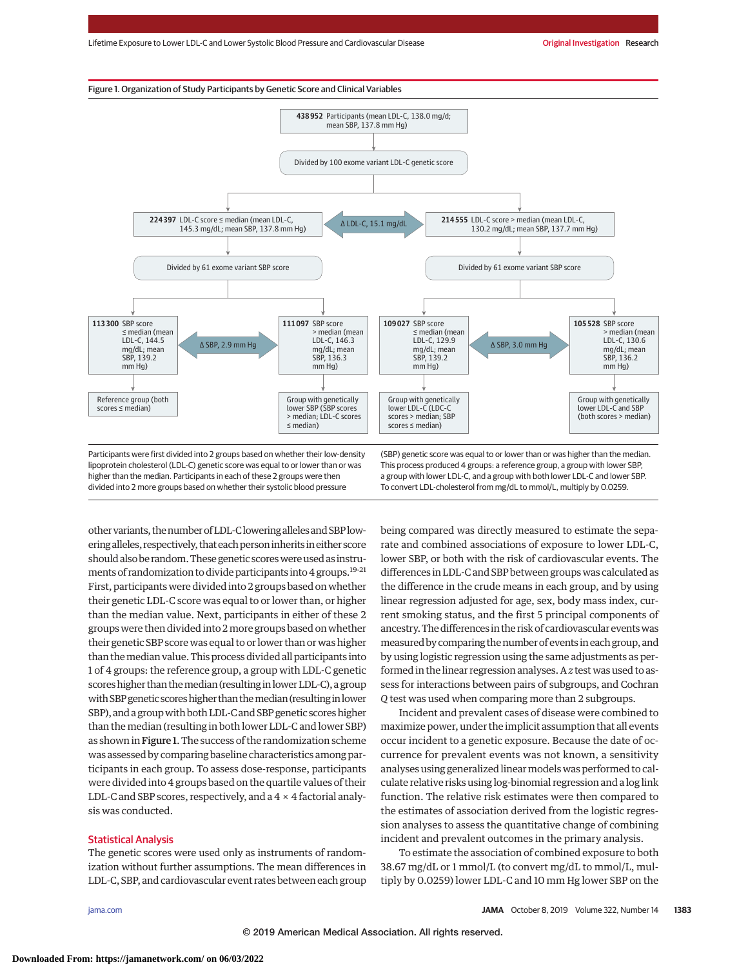



divided into 2 more groups based on whether their systolic blood pressure

To convert LDL-cholesterol from mg/dL to mmol/L, multiply by 0.0259.

other variants, the number of LDL-C lowering alleles and SBP lowering alleles, respectively, that each person inherits in either score should also be random. These genetic scores were used as instruments of randomization to divide participants into 4 groups.19-21 First, participants were divided into 2 groups based on whether their genetic LDL-C score was equal to or lower than, or higher than the median value. Next, participants in either of these 2 groups were then divided into 2more groups based on whether their genetic SBP score was equal to or lower than or was higher than themedian value. This process divided all participants into 1 of 4 groups: the reference group, a group with LDL-C genetic scoreshigher than themedian (resulting in lowerLDL-C), a group with SBP genetic scores higher than the median (resulting in lower SBP), and a group with both LDL-C and SBP genetic scores higher than themedian (resulting in both lower LDL-C and lower SBP) as shown in Figure 1. The success of the randomization scheme was assessed by comparing baseline characteristics among participants in each group. To assess dose-response, participants were divided into 4 groups based on the quartile values of their LDL-C and SBP scores, respectively, and a  $4 \times 4$  factorial analysis was conducted.

## Statistical Analysis

The genetic scores were used only as instruments of randomization without further assumptions. The mean differences in LDL-C, SBP, and cardiovascular event rates between each group being compared was directly measured to estimate the separate and combined associations of exposure to lower LDL-C, lower SBP, or both with the risk of cardiovascular events. The differences in LDL-C and SBP between groups was calculated as the difference in the crude means in each group, and by using linear regression adjusted for age, sex, body mass index, current smoking status, and the first 5 principal components of ancestry.The differences in the risk of cardiovascular eventswas measured by comparing the number of events in each group, and by using logistic regression using the same adjustments as performed in the linear regression analyses. A *z* test was used to assess for interactions between pairs of subgroups, and Cochran *Q* test was used when comparing more than 2 subgroups.

Incident and prevalent cases of disease were combined to maximize power, under the implicit assumption that all events occur incident to a genetic exposure. Because the date of occurrence for prevalent events was not known, a sensitivity analyses using generalized linear models was performed to calculate relative risks using log-binomial regression and a log link function. The relative risk estimates were then compared to the estimates of association derived from the logistic regression analyses to assess the quantitative change of combining incident and prevalent outcomes in the primary analysis.

To estimate the association of combined exposure to both 38.67 mg/dL or 1 mmol/L (to convert mg/dL to mmol/L, multiply by 0.0259) lower LDL-C and 10 mm Hg lower SBP on the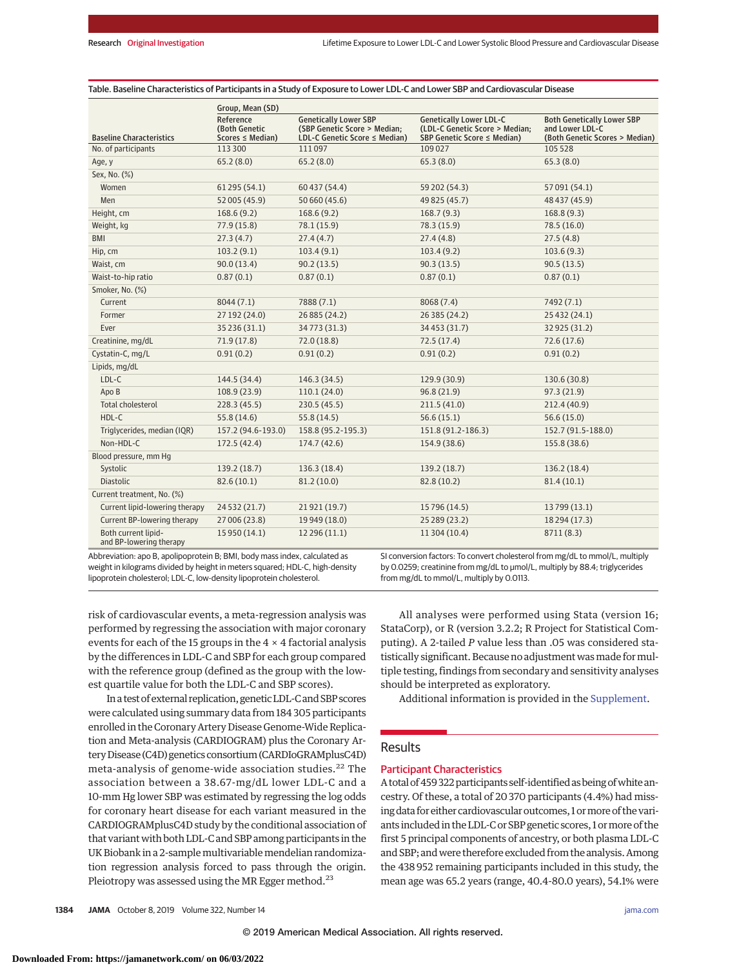|                                                | Group, Mean (SD)                                   |                                                                                               |                                                                                                 |                                                                                        |
|------------------------------------------------|----------------------------------------------------|-----------------------------------------------------------------------------------------------|-------------------------------------------------------------------------------------------------|----------------------------------------------------------------------------------------|
| <b>Baseline Characteristics</b>                | Reference<br>(Both Genetic<br>$Scores \le Median)$ | <b>Genetically Lower SBP</b><br>(SBP Genetic Score > Median;<br>LDL-C Genetic Score ≤ Median) | <b>Genetically Lower LDL-C</b><br>(LDL-C Genetic Score > Median;<br>SBP Genetic Score ≤ Median) | <b>Both Genetically Lower SBP</b><br>and Lower LDL-C<br>(Both Genetic Scores > Median) |
| No. of participants                            | 113 300                                            | 111097                                                                                        | 109 027                                                                                         | 105 528                                                                                |
| Age, y                                         | 65.2(8.0)                                          | 65.2(8.0)                                                                                     | 65.3(8.0)                                                                                       | 65.3(8.0)                                                                              |
| Sex, No. (%)                                   |                                                    |                                                                                               |                                                                                                 |                                                                                        |
| Women                                          | 61295 (54.1)                                       | 60 437 (54.4)                                                                                 | 59 202 (54.3)                                                                                   | 57 091 (54.1)                                                                          |
| Men                                            | 52 005 (45.9)                                      | 50 660 (45.6)                                                                                 | 49 825 (45.7)                                                                                   | 48 437 (45.9)                                                                          |
| Height, cm                                     | 168.6(9.2)                                         | 168.6(9.2)                                                                                    | 168.7(9.3)                                                                                      | 168.8(9.3)                                                                             |
| Weight, kg                                     | 77.9(15.8)                                         | 78.1 (15.9)                                                                                   | 78.3 (15.9)                                                                                     | 78.5(16.0)                                                                             |
| <b>BMI</b>                                     | 27.3(4.7)                                          | 27.4(4.7)                                                                                     | 27.4(4.8)                                                                                       | 27.5(4.8)                                                                              |
| Hip, cm                                        | 103.2(9.1)                                         | 103.4(9.1)                                                                                    | 103.4(9.2)                                                                                      | 103.6(9.3)                                                                             |
| Waist, cm                                      | 90.0(13.4)                                         | 90.2(13.5)                                                                                    | 90.3(13.5)                                                                                      | 90.5(13.5)                                                                             |
| Waist-to-hip ratio                             | 0.87(0.1)                                          | 0.87(0.1)                                                                                     | 0.87(0.1)                                                                                       | 0.87(0.1)                                                                              |
| Smoker, No. (%)                                |                                                    |                                                                                               |                                                                                                 |                                                                                        |
| Current                                        | 8044(7.1)                                          | 7888 (7.1)                                                                                    | 8068 (7.4)                                                                                      | 7492 (7.1)                                                                             |
| Former                                         | 27 192 (24.0)                                      | 26 885 (24.2)                                                                                 | 26 385 (24.2)                                                                                   | 25 432 (24.1)                                                                          |
| Ever                                           | 35 236 (31.1)                                      | 34773 (31.3)                                                                                  | 34 453 (31.7)                                                                                   | 32 925 (31.2)                                                                          |
| Creatinine, mg/dL                              | 71.9(17.8)                                         | 72.0(18.8)                                                                                    | 72.5 (17.4)                                                                                     | 72.6(17.6)                                                                             |
| Cystatin-C, mg/L                               | 0.91(0.2)                                          | 0.91(0.2)                                                                                     | 0.91(0.2)                                                                                       | 0.91(0.2)                                                                              |
| Lipids, mg/dL                                  |                                                    |                                                                                               |                                                                                                 |                                                                                        |
| LDL-C                                          | 144.5 (34.4)                                       | 146.3 (34.5)                                                                                  | 129.9 (30.9)                                                                                    | 130.6 (30.8)                                                                           |
| Apo B                                          | 108.9 (23.9)                                       | 110.1(24.0)                                                                                   | 96.8(21.9)                                                                                      | 97.3(21.9)                                                                             |
| Total cholesterol                              | 228.3(45.5)                                        | 230.5(45.5)                                                                                   | 211.5(41.0)                                                                                     | 212.4 (40.9)                                                                           |
| HDL-C                                          | 55.8(14.6)                                         | 55.8(14.5)                                                                                    | 56.6(15.1)                                                                                      | 56.6(15.0)                                                                             |
| Triglycerides, median (IQR)                    | 157.2 (94.6-193.0)                                 | 158.8 (95.2-195.3)                                                                            | 151.8 (91.2-186.3)                                                                              | 152.7 (91.5-188.0)                                                                     |
| Non-HDL-C                                      | 172.5(42.4)                                        | 174.7(42.6)                                                                                   | 154.9 (38.6)                                                                                    | 155.8 (38.6)                                                                           |
| Blood pressure, mm Hq                          |                                                    |                                                                                               |                                                                                                 |                                                                                        |
| Systolic                                       | 139.2 (18.7)                                       | 136.3 (18.4)                                                                                  | 139.2 (18.7)                                                                                    | 136.2 (18.4)                                                                           |
| <b>Diastolic</b>                               | 82.6(10.1)                                         | 81.2(10.0)                                                                                    | 82.8 (10.2)                                                                                     | 81.4(10.1)                                                                             |
| Current treatment, No. (%)                     |                                                    |                                                                                               |                                                                                                 |                                                                                        |
| Current lipid-lowering therapy                 | 24 532 (21.7)                                      | 21 921 (19.7)                                                                                 | 15 796 (14.5)                                                                                   | 13799 (13.1)                                                                           |
| Current BP-lowering therapy                    | 27 006 (23.8)                                      | 19 949 (18.0)                                                                                 | 25 289 (23.2)                                                                                   | 18 294 (17.3)                                                                          |
| Both current lipid-<br>and BP-lowering therapy | 15 950 (14.1)                                      | 12 296 (11.1)                                                                                 | 11 304 (10.4)                                                                                   | 8711(8.3)                                                                              |

Table. Baseline Characteristics of Participants in a Study of Exposure to Lower LDL-C and Lower SBP and Cardiovascular Disease

Abbreviation: apo B, apolipoprotein B; BMI, body mass index, calculated as weight in kilograms divided by height in meters squared; HDL-C, high-density lipoprotein cholesterol; LDL-C, low-density lipoprotein cholesterol.

SI conversion factors: To convert cholesterol from mg/dL to mmol/L, multiply by 0.0259; creatinine from mg/dL to μmol/L, multiply by 88.4; triglycerides from mg/dL to mmol/L, multiply by 0.0113.

risk of cardiovascular events, a meta-regression analysis was performed by regressing the association with major coronary events for each of the 15 groups in the 4 × 4 factorial analysis by the differences in LDL-C and SBP for each group compared with the reference group (defined as the group with the lowest quartile value for both the LDL-C and SBP scores).

In a test of external replication, geneticLDL-C and SBP scores were calculated using summary data from 184 305 participants enrolled in the Coronary Artery Disease Genome-Wide Replication and Meta-analysis (CARDIOGRAM) plus the Coronary Artery Disease (C4D) genetics consortium (CARDIoGRAMplusC4D) meta-analysis of genome-wide association studies. $^{22}$  The association between a 38.67-mg/dL lower LDL-C and a 10-mm Hg lower SBP was estimated by regressing the log odds for coronary heart disease for each variant measured in the CARDIOGRAMplusC4D study by the conditional association of that variant with both LDL-C and SBP among participants in the UK Biobank in a 2-sample multivariable mendelian randomization regression analysis forced to pass through the origin. Pleiotropy was assessed using the MR Egger method.<sup>23</sup>

All analyses were performed using Stata (version 16; StataCorp), or R (version 3.2.2; R Project for Statistical Computing). A 2-tailed *P* value less than .05 was considered statistically significant. Because no adjustment was made for multiple testing, findings from secondary and sensitivity analyses should be interpreted as exploratory.

Additional information is provided in the [Supplement.](https://jama.jamanetwork.com/article.aspx?doi=10.1001/jama.2019.14120&utm_campaign=articlePDF%26utm_medium=articlePDFlink%26utm_source=articlePDF%26utm_content=jama.2019.14120)

## **Results**

#### Participant Characteristics

A total of 459 322 participants self-identified as being of white ancestry. Of these, a total of 20 370 participants (4.4%) had missing data for either cardiovascular outcomes, 1 or more of the variants included in the LDL-C or SBP genetic scores, 1 ormore of the first 5 principal components of ancestry, or both plasma LDL-C and SBP; and were therefore excluded from the analysis. Among the 438 952 remaining participants included in this study, the mean age was 65.2 years (range, 40.4-80.0 years), 54.1% were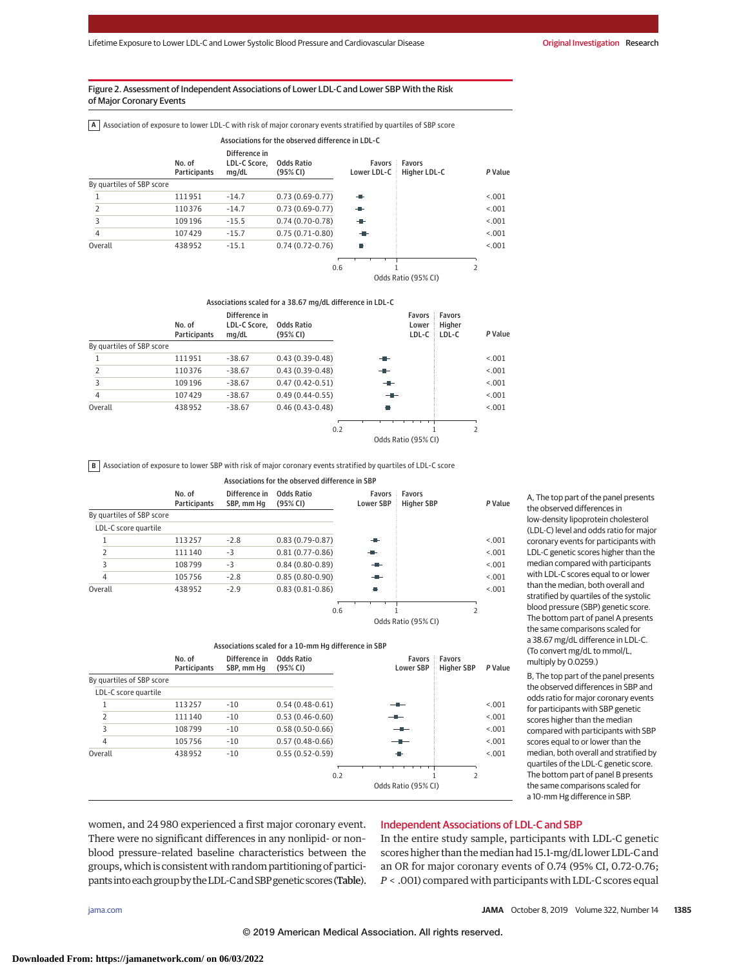#### Figure 2. Assessment of Independent Associations of Lower LDL-C and Lower SBP With the Risk of Major Coronary Events

**A** Association of exposure to lower LDL-C with risk of major coronary events stratified by quartiles of SBP score

|                           |                        |                                        | Associations for the observed difference in LDL-C |                |                                      |         |
|---------------------------|------------------------|----------------------------------------|---------------------------------------------------|----------------|--------------------------------------|---------|
|                           | No. of<br>Participants | Difference in<br>LDL-C Score.<br>mq/dL | <b>Odds Ratio</b><br>(95% CI)                     | Lower LDL-C    | <b>Favors Favors</b><br>Higher LDL-C | P Value |
| By quartiles of SBP score |                        |                                        |                                                   |                |                                      |         |
|                           | 111951                 | $-14.7$                                | $0.73(0.69 - 0.77)$                               | $\blacksquare$ |                                      | < 0.01  |
| $\overline{2}$            | 110376                 | $-14.7$                                | $0.73(0.69-0.77)$                                 | ÷              |                                      | < 0.01  |
| 3                         | 109196                 | $-15.5$                                | $0.74(0.70-0.78)$                                 | $-1$           |                                      | < 0.01  |
| 4                         | 107429                 | $-15.7$                                | $0.75(0.71-0.80)$                                 | - 1            |                                      | < 0.01  |
| Overall                   | 438952                 | $-15.1$                                | $0.74(0.72-0.76)$                                 | П              |                                      | < 0.01  |
|                           |                        |                                        | 0.6                                               |                |                                      |         |
|                           |                        |                                        |                                                   |                | Odds Ratio (95% CI)                  |         |

*P* Value Favors Lower LDL-C Favors Higher LDL-C Odds Ratio (95% CI) No. of Participants Difference in LDL-C Score, mg/dL By quartiles of SBP score Odds Ratio (95% CI) 1 0.43 (0.39-0.48) 111951 –38.67 <.001 Overall 0.46 (0.43-0.48) 438952 –38.67 <.001 2 0.43 (0.39-0.48) 110376 –38.67 <.001 3 0.47 (0.42-0.51) 109196 –38.67 <.001 4 0.49 (0.44-0.55) 107429 –38.67 <.001 Associations scaled for a 38.67 mg/dL difference in LDL-C  $0.2$  1 2

**B** Association of exposure to lower SBP with risk of major coronary events stratified by quartiles of LDL-C score

| Associations for the observed difference in SBP |                        |                             |                        |                            |                                  |         |  |  |  |
|-------------------------------------------------|------------------------|-----------------------------|------------------------|----------------------------|----------------------------------|---------|--|--|--|
|                                                 | No. of<br>Participants | Difference in<br>SBP, mm Hq | Odds Ratio<br>(95% CI) | Favors<br><b>Lower SBP</b> | Favors<br>÷<br><b>Higher SBP</b> | P Value |  |  |  |
| By quartiles of SBP score                       |                        |                             |                        |                            |                                  |         |  |  |  |
| LDL-C score quartile                            |                        |                             |                        |                            |                                  |         |  |  |  |
|                                                 | 113257                 | $-2.8$                      | $0.83(0.79-0.87)$      | - 1                        |                                  | < 0.01  |  |  |  |
|                                                 | 111140                 | $-3$                        | $0.81(0.77-0.86)$      | - -                        |                                  | < 0.01  |  |  |  |
| 3                                               | 108799                 | $-3$                        | $0.84(0.80-0.89)$      | $-$                        |                                  | < 0.01  |  |  |  |
| 4                                               | 105756                 | $-2.8$                      | $0.85(0.80-0.90)$      | $-$                        |                                  | < 0.01  |  |  |  |
| Overall                                         | 438952                 | $-2.9$                      | $0.83(0.81 - 0.86)$    | п                          |                                  | < 0.01  |  |  |  |
|                                                 |                        |                             |                        |                            |                                  |         |  |  |  |
|                                                 |                        |                             | 0.6                    |                            |                                  |         |  |  |  |

Odds Ratio (95% CI)

|                           |                        |                             | Associations scaled for a 10-mm Hg difference in SBP |                             |                                    |         |
|---------------------------|------------------------|-----------------------------|------------------------------------------------------|-----------------------------|------------------------------------|---------|
|                           | No. of<br>Participants | Difference in<br>SBP, mm Hq | Odds Ratio<br>(95% CI)                               | Favors:<br><b>Lower SBP</b> | <b>Favors</b><br><b>Higher SBP</b> | P Value |
| By quartiles of SBP score |                        |                             |                                                      |                             |                                    |         |
| LDL-C score quartile      |                        |                             |                                                      |                             |                                    |         |
| $\mathbf{1}$              | 113257                 | $-10$                       | $0.54(0.48-0.61)$                                    | — <b>—</b>                  |                                    | < 0.01  |
| $\overline{2}$            | 111140                 | $-10$                       | $0.53(0.46-0.60)$                                    | $-$                         |                                    | < 0.01  |
| 3                         | 108799                 | $-10$                       | $0.58(0.50-0.66)$                                    | --                          |                                    | < 0.01  |
| $\overline{4}$            | 105756                 | $-10$                       | $0.57(0.48-0.66)$                                    |                             |                                    | < 0.01  |
| Overall                   | 438952                 | $-10$                       | $0.55(0.52 - 0.59)$                                  | œ                           |                                    | < 0.01  |
|                           |                        |                             |                                                      | 0.2<br>Odds Ratio (95% CI)  | $\overline{\phantom{a}}$           |         |

A, The top part of the panel presents the observed differences in low-density lipoprotein cholesterol (LDL-C) level and odds ratio for major coronary events for participants with LDL-C genetic scores higher than the median compared with participants with LDL-C scores equal to or lower than the median, both overall and stratified by quartiles of the systolic blood pressure (SBP) genetic score. The bottom part of panel A presents the same comparisons scaled for a 38.67 mg/dL difference in LDL-C. (To convert mg/dL to mmol/L, multiply by 0.0259.)

B, The top part of the panel presents the observed differences in SBP and odds ratio for major coronary events for participants with SBP genetic scores higher than the median compared with participants with SBP scores equal to or lower than the median, both overall and stratified by quartiles of the LDL-C genetic score. The bottom part of panel B presents the same comparisons scaled for a 10-mm Hg difference in SBP.

women, and 24 980 experienced a first major coronary event. There were no significant differences in any nonlipid- or non– blood pressure–related baseline characteristics between the groups, which is consistent with random partitioning of participants into each group by the LDL-C and SBP genetic scores (Table).

# Independent Associations of LDL-C and SBP

In the entire study sample, participants with LDL-C genetic scores higher than themedian had 15.1-mg/dL lower LDL-C and an OR for major coronary events of 0.74 (95% CI, 0.72-0.76; *P* < .001) compared with participants with LDL-C scores equal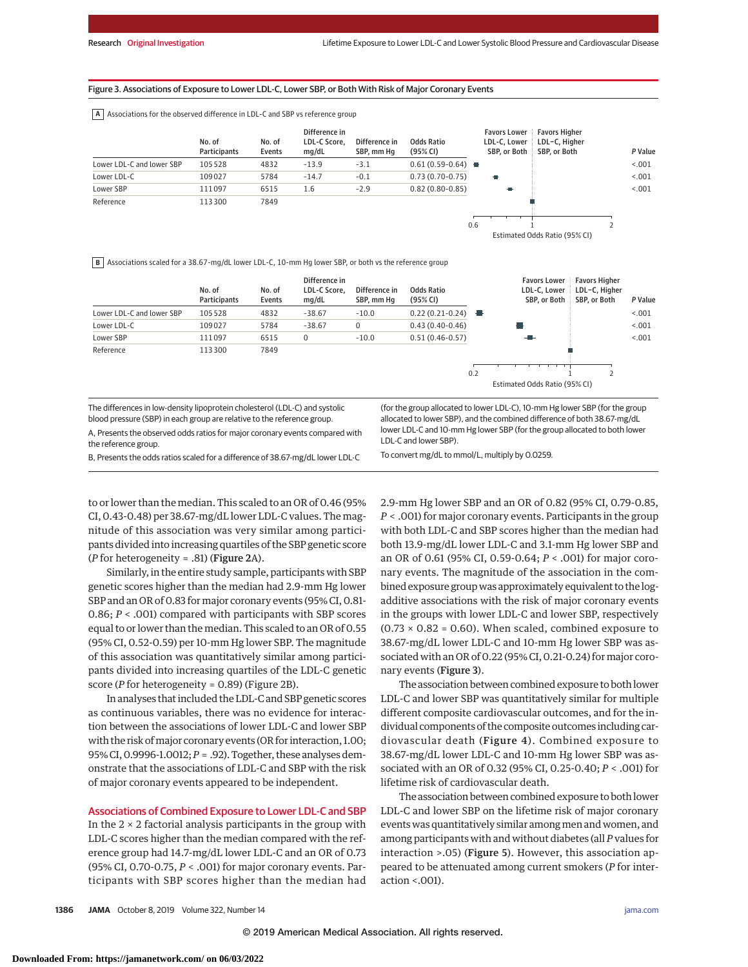#### Figure 3. Associations of Exposure to Lower LDL-C, Lower SBP, or Both With Risk of Major Coronary Events

**A** Associations for the observed difference in LDL-C and SBP vs reference group

|                           | No. of<br><b>Participants</b> | No. of<br>Events | Difference in<br>LDL-C Score.<br>mq/dL | Difference in<br>SBP. mm Ha | <b>Odds Ratio</b><br>(95% CI) | <b>Favors Lower</b><br>LDL-C. Lower<br>SBP, or Both | <b>Favors Higher</b><br>LDL-C, Higher<br>SBP, or Both | P Value |
|---------------------------|-------------------------------|------------------|----------------------------------------|-----------------------------|-------------------------------|-----------------------------------------------------|-------------------------------------------------------|---------|
| Lower LDL-C and lower SBP | 105528                        | 4832             | $-13.9$                                | $-3.1$                      | $0.61(0.59-0.64)$             |                                                     |                                                       | < 001   |
| Lower LDL-C               | 109027                        | 5784             | $-14.7$                                | $-0.1$                      | $0.73(0.70-0.75)$             | Ð                                                   |                                                       | < 0.001 |
| Lower SBP                 | 111097                        | 6515             | 1.6                                    | $-2.9$                      | $0.82(0.80 - 0.85)$           | ÷                                                   |                                                       | < 0.001 |
| Reference                 | 113300                        | 7849             |                                        |                             |                               |                                                     |                                                       |         |
|                           |                               |                  |                                        |                             |                               | 0.6                                                 |                                                       |         |

Estimated Odds Ratio (95% CI)

**B** Associations scaled for a 38.67-mg/dL lower LDL-C, 10-mm Hg lower SBP, or both vs the reference group

|                           | No. of<br><b>Participants</b> | No. of<br>Events | Difference in<br>LDL-C Score.<br>mq/dL | Difference in<br>SBP, mm Hq | <b>Odds Ratio</b><br>(95% CI) |     | <b>Favors Lower</b><br>LDL-C. Lower | <b>Favors Higher</b><br>LDL-C. Higher<br>SBP, or Both SBP, or Both | P Value |
|---------------------------|-------------------------------|------------------|----------------------------------------|-----------------------------|-------------------------------|-----|-------------------------------------|--------------------------------------------------------------------|---------|
| Lower LDL-C and lower SBP | 105528                        | 4832             | $-38.67$                               | $-10.0$                     | $0.22(0.21-0.24)$             |     |                                     |                                                                    | < 0.001 |
| Lower LDL-C               | 109027                        | 5784             | $-38.67$                               | 0                           | $0.43(0.40-0.46)$             |     |                                     |                                                                    | < 0.01  |
| Lower SBP                 | 111097                        | 6515             | 0                                      | $-10.0$                     | $0.51(0.46 - 0.57)$           |     | - -                                 |                                                                    | < 0.01  |
| Reference                 | 113300                        | 7849             |                                        |                             |                               |     |                                     |                                                                    |         |
|                           |                               |                  |                                        |                             |                               |     |                                     |                                                                    |         |
|                           |                               |                  |                                        |                             |                               | 0.2 |                                     |                                                                    |         |

Estimated Odds Ratio (95% CI)

The differences in low-density lipoprotein cholesterol (LDL-C) and systolic blood pressure (SBP) in each group are relative to the reference group.

A, Presents the observed odds ratios for major coronary events compared with the reference group.

lower LDL-C and 10-mm Hg lower SBP (for the group allocated to both lower LDL-C and lower SBP). To convert mg/dL to mmol/L, multiply by 0.0259.

(for the group allocated to lower LDL-C), 10-mm Hg lower SBP (for the group allocated to lower SBP), and the combined difference of both 38.67-mg/dL

B, Presents the odds ratios scaled for a difference of 38.67-mg/dL lower LDL-C

to or lower than the median. This scaled to an OR of 0.46 (95% CI, 0.43-0.48) per 38.67-mg/dL lower LDL-C values. The magnitude of this association was very similar among participants divided into increasing quartiles of the SBP genetic score (*P* for heterogeneity = .81) (Figure 2A). Similarly, in the entire study sample, participants with SBP genetic scores higher than the median had 2.9-mm Hg lower

SBP and an OR of 0.83 for major coronary events (95% CI, 0.81- 0.86; *P* < .001) compared with participants with SBP scores equal to or lower than the median. This scaled to an OR of 0.55 (95% CI, 0.52-0.59) per 10-mm Hg lower SBP. The magnitude of this association was quantitatively similar among participants divided into increasing quartiles of the LDL-C genetic score (*P* for heterogeneity = 0.89) (Figure 2B).

In analyses that included the LDL-C and SBP genetic scores as continuous variables, there was no evidence for interaction between the associations of lower LDL-C and lower SBP with the risk of major coronary events (OR for interaction, 1.00; 95% CI, 0.9996-1.0012;*P* = .92). Together, these analyses demonstrate that the associations of LDL-C and SBP with the risk of major coronary events appeared to be independent.

#### Associations of Combined Exposure to Lower LDL-C and SBP

In the  $2 \times 2$  factorial analysis participants in the group with LDL-C scores higher than the median compared with the reference group had 14.7-mg/dL lower LDL-C and an OR of 0.73 (95% CI, 0.70-0.75, *P* < .001) for major coronary events. Participants with SBP scores higher than the median had 2.9-mm Hg lower SBP and an OR of 0.82 (95% CI, 0.79-0.85, *P* < .001) for major coronary events. Participants in the group with both LDL-C and SBP scores higher than the median had both 13.9-mg/dL lower LDL-C and 3.1-mm Hg lower SBP and an OR of 0.61 (95% CI, 0.59-0.64; *P* < .001) for major coronary events. The magnitude of the association in the combined exposure group was approximately equivalent to the logadditive associations with the risk of major coronary events in the groups with lower LDL-C and lower SBP, respectively  $(0.73 \times 0.82 = 0.60)$ . When scaled, combined exposure to 38.67-mg/dL lower LDL-C and 10-mm Hg lower SBP was associated with an OR of 0.22 (95% CI, 0.21-0.24) for major coronary events (Figure 3).

The association between combined exposure to both lower LDL-C and lower SBP was quantitatively similar for multiple different composite cardiovascular outcomes, and for the individual components of the composite outcomes including cardiovascular death (Figure 4). Combined exposure to 38.67-mg/dL lower LDL-C and 10-mm Hg lower SBP was associated with an OR of 0.32 (95% CI, 0.25-0.40; *P* < .001) for lifetime risk of cardiovascular death.

The association between combined exposure to both lower LDL-C and lower SBP on the lifetime risk of major coronary events was quantitatively similar amongmen and women, and among participants with and without diabetes (all *P* values for interaction >.05) (Figure 5). However, this association appeared to be attenuated among current smokers (*P* for interaction <.001).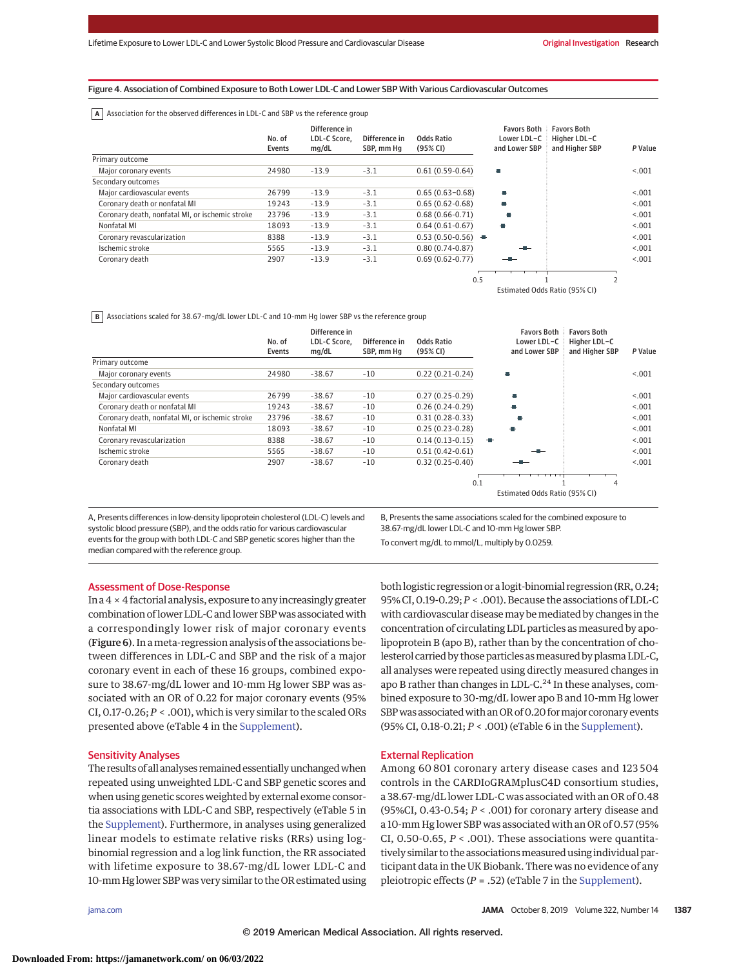#### Figure 4. Association of Combined Exposure to Both Lower LDL-C and Lower SBP With Various Cardiovascular Outcomes

**A** Association for the observed differences in LDL-C and SBP vs the reference group

|                                                 | No. of<br>Events | Difference in<br>LDL-C Score.<br>mq/dL | Difference in<br>SBP, mm Hq | <b>Odds Ratio</b><br>(95% CI) | <b>Favors Both</b><br>Lower LDL-C<br>and Lower SBP | <b>Favors Both</b><br>Higher LDL-C<br>and Higher SBP | P Value |
|-------------------------------------------------|------------------|----------------------------------------|-----------------------------|-------------------------------|----------------------------------------------------|------------------------------------------------------|---------|
| Primary outcome                                 |                  |                                        |                             |                               |                                                    |                                                      |         |
| Major coronary events                           | 24980            | $-13.9$                                | $-3.1$                      | $0.61(0.59-0.64)$             | П                                                  |                                                      | < 0.001 |
| Secondary outcomes                              |                  |                                        |                             |                               |                                                    |                                                      |         |
| Major cardiovascular events                     | 26799            | $-13.9$                                | $-3.1$                      | $0.65(0.63 - 0.68)$           | П                                                  |                                                      | < 0.001 |
| Coronary death or nonfatal MI                   | 19243            | $-13.9$                                | $-3.1$                      | $0.65(0.62 - 0.68)$           | ÷                                                  |                                                      | < 0.001 |
| Coronary death, nonfatal MI, or ischemic stroke | 23796            | $-13.9$                                | $-3.1$                      | $0.68(0.66 - 0.71)$           |                                                    |                                                      | < 0.001 |
| Nonfatal MI                                     | 18093            | $-13.9$                                | $-3.1$                      | $0.64(0.61-0.67)$             | o                                                  |                                                      | < 0.001 |
| Coronary revascularization                      | 8388             | $-13.9$                                | $-3.1$                      | $0.53(0.50-0.56)$             |                                                    |                                                      | < 0.001 |
| Ischemic stroke                                 | 5565             | $-13.9$                                | $-3.1$                      | $0.80(0.74-0.87)$             |                                                    |                                                      | < 0.001 |
| Coronary death                                  | 2907             | $-13.9$                                | $-3.1$                      | $0.69(0.62 - 0.77)$           |                                                    |                                                      | < 0.001 |
|                                                 |                  |                                        |                             | 0.5                           |                                                    |                                                      |         |

Estimated Odds Ratio (95% CI)

**B** Associations scaled for 38.67-mg/dL lower LDL-C and 10-mm Hg lower SBP vs the reference group

|                                                 | No. of<br>Events | Difference in<br>LDL-C Score.<br>mq/dL | Difference in<br>SBP, mm Hq | <b>Odds Ratio</b><br>(95% CI) | <b>Favors Both</b><br>Lower LDL-C<br>and Lower SBP | <b>Favors Both</b><br>Higher LDL-C<br>and Higher SBP | P Value |
|-------------------------------------------------|------------------|----------------------------------------|-----------------------------|-------------------------------|----------------------------------------------------|------------------------------------------------------|---------|
| Primary outcome                                 |                  |                                        |                             |                               |                                                    |                                                      |         |
| Major coronary events                           | 24980            | $-38.67$                               | $-10$                       | $0.22(0.21-0.24)$             |                                                    |                                                      | < 0.01  |
| Secondary outcomes                              |                  |                                        |                             |                               |                                                    |                                                      |         |
| Major cardiovascular events                     | 26799            | $-38.67$                               | $-10$                       | $0.27(0.25-0.29)$             | o                                                  |                                                      | < 0.001 |
| Coronary death or nonfatal MI                   | 19243            | $-38.67$                               | $-10$                       | $0.26(0.24-0.29)$             | ÷                                                  |                                                      | < 0.001 |
| Coronary death, nonfatal MI, or ischemic stroke | 23796            | $-38.67$                               | $-10$                       | $0.31(0.28-0.33)$             |                                                    |                                                      | < 0.001 |
| Nonfatal MI                                     | 18093            | $-38.67$                               | $-10$                       | $0.25(0.23-0.28)$             |                                                    |                                                      | < 0.001 |
| Coronary revascularization                      | 8388             | $-38.67$                               | $-10$                       | $0.14(0.13-0.15)$             | ÷                                                  |                                                      | < 0.001 |
| Ischemic stroke                                 | 5565             | $-38.67$                               | $-10$                       | $0.51(0.42 - 0.61)$           |                                                    |                                                      | < 0.001 |
| Coronary death                                  | 2907             | $-38.67$                               | $-10$                       | $0.32(0.25-0.40)$             |                                                    |                                                      | < 0.001 |
|                                                 |                  |                                        |                             |                               |                                                    |                                                      |         |
|                                                 |                  |                                        |                             | 0.1                           |                                                    | 4                                                    |         |
|                                                 |                  |                                        |                             |                               | Estimated Odds Ratio (95% CI)                      |                                                      |         |

A, Presents differences in low-density lipoprotein cholesterol (LDL-C) levels and systolic blood pressure (SBP), and the odds ratio for various cardiovascular events for the group with both LDL-C and SBP genetic scores higher than the median compared with the reference group.

B, Presents the same associations scaled for the combined exposure to 38.67-mg/dL lower LDL-C and 10-mm Hg lower SBP. To convert mg/dL to mmol/L, multiply by 0.0259.

#### Assessment of Dose-Response

In a  $4 \times 4$  factorial analysis, exposure to any increasingly greater combination of lower LDL-C and lower SBP was associated with a correspondingly lower risk of major coronary events (Figure 6). In ameta-regression analysis of the associations between differences in LDL-C and SBP and the risk of a major coronary event in each of these 16 groups, combined exposure to 38.67-mg/dL lower and 10-mm Hg lower SBP was associated with an OR of 0.22 for major coronary events (95% CI, 0.17-0.26; *P* < .001), which is very similar to the scaled ORs presented above (eTable 4 in the [Supplement\)](https://jama.jamanetwork.com/article.aspx?doi=10.1001/jama.2019.14120&utm_campaign=articlePDF%26utm_medium=articlePDFlink%26utm_source=articlePDF%26utm_content=jama.2019.14120).

#### Sensitivity Analyses

The results of all analyses remained essentially unchanged when repeated using unweighted LDL-C and SBP genetic scores and when using genetic scores weighted by external exome consortia associations with LDL-C and SBP, respectively (eTable 5 in the [Supplement\)](https://jama.jamanetwork.com/article.aspx?doi=10.1001/jama.2019.14120&utm_campaign=articlePDF%26utm_medium=articlePDFlink%26utm_source=articlePDF%26utm_content=jama.2019.14120). Furthermore, in analyses using generalized linear models to estimate relative risks (RRs) using logbinomial regression and a log link function, the RR associated with lifetime exposure to 38.67-mg/dL lower LDL-C and 10-mm Hg lower SBPwas very similar to the OR estimated using

both logistic regression or a logit-binomial regression (RR, 0.24; 95% CI, 0.19-0.29;*P* < .001). Because the associations of LDL-C with cardiovascular diseasemay bemediated by changes in the concentration of circulating LDL particles as measured by apolipoprotein B (apo B), rather than by the concentration of cholesterol carried by those particles as measured by plasma LDL-C, all analyses were repeated using directly measured changes in apo B rather than changes in LDL-C.<sup>24</sup> In these analyses, combined exposure to 30-mg/dL lower apo B and 10-mm Hg lower SBP was associated with an OR of 0.20 for major coronary events (95% CI, 0.18-0.21; *P* < .001) (eTable 6 in the [Supplement\)](https://jama.jamanetwork.com/article.aspx?doi=10.1001/jama.2019.14120&utm_campaign=articlePDF%26utm_medium=articlePDFlink%26utm_source=articlePDF%26utm_content=jama.2019.14120).

#### External Replication

Among 60 801 coronary artery disease cases and 123 504 controls in the CARDIoGRAMplusC4D consortium studies, a 38.67-mg/dL lower LDL-C was associated with an OR of 0.48 (95%CI, 0.43-0.54; *P* < .001) for coronary artery disease and a 10-mm Hg lower SBP was associated with an OR of 0.57 (95% CI, 0.50-0.65, *P* < .001). These associations were quantitatively similar to the associations measured using individual participant data in the UK Biobank. There was no evidence of any pleiotropic effects (*P* = .52) (eTable 7 in the [Supplement\)](https://jama.jamanetwork.com/article.aspx?doi=10.1001/jama.2019.14120&utm_campaign=articlePDF%26utm_medium=articlePDFlink%26utm_source=articlePDF%26utm_content=jama.2019.14120).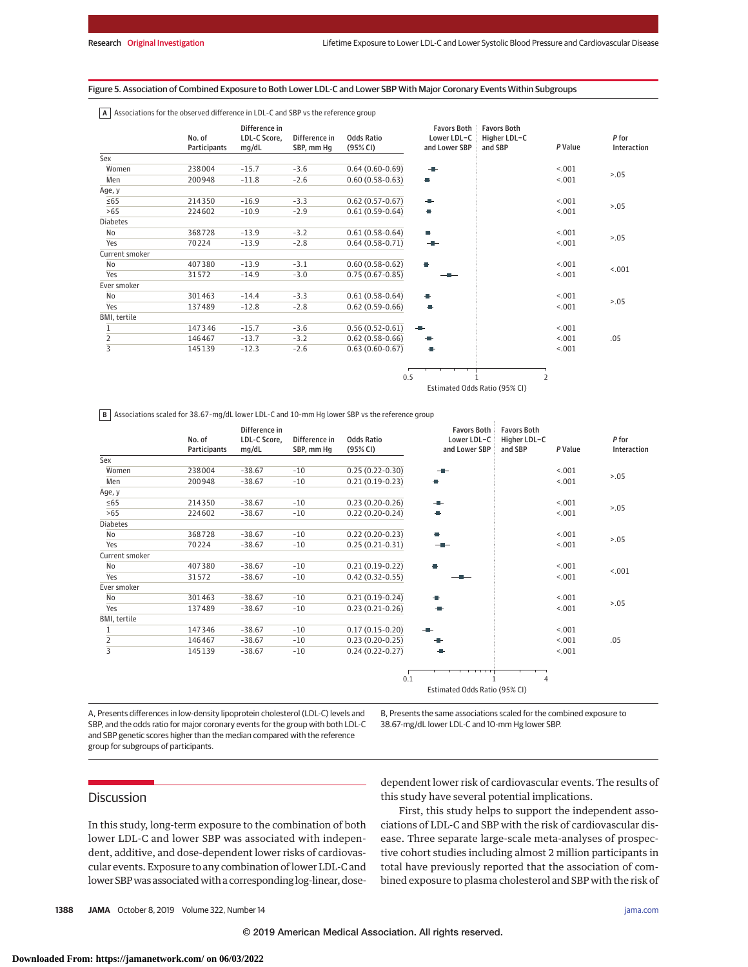#### Figure 5. Association of Combined Exposure to Both Lower LDL-C and Lower SBP With Major Coronary Events Within Subgroups

|                 | No. of<br>Participants | Difference in<br>LDL-C Score,<br>mg/dL | Difference in<br>SBP, mm Hq | <b>Odds Ratio</b><br>(95% CI) | <b>Favors Both</b><br>Lower LDL-C<br>and Lower SBP | <b>Favors Both</b><br>Higher LDL-C<br>and SBP | P Value        | P for<br>Interaction |
|-----------------|------------------------|----------------------------------------|-----------------------------|-------------------------------|----------------------------------------------------|-----------------------------------------------|----------------|----------------------|
| Sex             |                        |                                        |                             |                               |                                                    |                                               |                |                      |
| Women           | 238004                 | $-15.7$                                | $-3.6$                      | $0.64(0.60-0.69)$             | $\blacksquare$                                     |                                               | < .001         | > 0.05               |
| Men             | 200948                 | $-11.8$                                | $-2.6$                      | $0.60(0.58-0.63)$             | e.                                                 |                                               | < .001         |                      |
| Age, y          |                        |                                        |                             |                               |                                                    |                                               |                |                      |
| $\leq 65$       | 214350                 | $-16.9$                                | $-3.3$                      | $0.62(0.57-0.67)$             | ÷                                                  |                                               | < .001         |                      |
| >65             | 224602                 | $-10.9$                                | $-2.9$                      | $0.61(0.59-0.64)$             | ÷                                                  |                                               | < .001         | > 0.05               |
| <b>Diabetes</b> |                        |                                        |                             |                               |                                                    |                                               |                |                      |
| No              | 368728                 | $-13.9$                                | $-3.2$                      | $0.61(0.58-0.64)$             | T.                                                 |                                               | < .001         |                      |
| Yes             | 70224                  | $-13.9$                                | $-2.8$                      | $0.64(0.58-0.71)$             | $-$                                                |                                               | < .001         | > 0.05               |
| Current smoker  |                        |                                        |                             |                               |                                                    |                                               |                |                      |
| No              | 407380                 | $-13.9$                                | $-3.1$                      | $0.60(0.58-0.62)$             | $\Box$                                             |                                               | < .001         | < .001               |
| Yes             | 31572                  | $-14.9$                                | $-3.0$                      | $0.75(0.67-0.85)$             |                                                    |                                               | < .001         |                      |
| Ever smoker     |                        |                                        |                             |                               |                                                    |                                               |                |                      |
| <b>No</b>       | 301463                 | $-14.4$                                | $-3.3$                      | $0.61(0.58-0.64)$             | e.                                                 |                                               | < .001         |                      |
| Yes             | 137489                 | $-12.8$                                | $-2.8$                      | $0.62(0.59-0.66)$             | ÷                                                  |                                               | < .001         | > 0.05               |
| BMI, tertile    |                        |                                        |                             |                               |                                                    |                                               |                |                      |
| 1               | 147346                 | $-15.7$                                | $-3.6$                      | $0.56(0.52-0.61)$             | -11-                                               |                                               | < .001         |                      |
| $\overline{2}$  | 146467                 | $-13.7$                                | $-3.2$                      | $0.62(0.58-0.66)$             | ÷                                                  |                                               | < .001         | .05                  |
| 3               | 145139                 | $-12.3$                                | $-2.6$                      | $0.63(0.60-0.67)$             | œ                                                  |                                               | < .001         |                      |
|                 |                        |                                        |                             |                               | 0.5                                                |                                               | $\overline{2}$ |                      |

Estimated Odds Ratio (95% CI)

**B** Associations scaled for 38.67-mg/dL lower LDL-C and 10-mm Hg lower SBP vs the reference group

|                 |                        | Difference in         |                             |                               | <b>Favors Both</b>            | <b>Favors Both</b>      |         |                      |
|-----------------|------------------------|-----------------------|-----------------------------|-------------------------------|-------------------------------|-------------------------|---------|----------------------|
|                 | No. of<br>Participants | LDL-C Score,<br>mg/dL | Difference in<br>SBP, mm Hq | <b>Odds Ratio</b><br>(95% CI) | Lower LDL-C<br>and Lower SBP  | Higher LDL-C<br>and SBP | P Value | P for<br>Interaction |
| Sex             |                        |                       |                             |                               |                               |                         |         |                      |
| Women           | 238004                 | $-38.67$              | $-10$                       | $0.25(0.22-0.30)$             |                               |                         | < .001  |                      |
| Men             | 200948                 | $-38.67$              | $-10$                       | $0.21(0.19-0.23)$             | ÷                             |                         | < .001  | > 0.05               |
| Age, y          |                        |                       |                             |                               |                               |                         |         |                      |
| $\leq 65$       | 214350                 | $-38.67$              | $-10$                       | $0.23(0.20-0.26)$             | --                            |                         | < .001  |                      |
| >65             | 224602                 | $-38.67$              | $-10$                       | $0.22(0.20-0.24)$             | ÷                             |                         | < .001  | > 0.05               |
| <b>Diabetes</b> |                        |                       |                             |                               |                               |                         |         |                      |
| No              | 368728                 | $-38.67$              | $-10$                       | $0.22(0.20-0.23)$             | o                             |                         | < .001  |                      |
| Yes             | 70224                  | $-38.67$              | $-10$                       | $0.25(0.21-0.31)$             |                               |                         | < .001  | > 0.05               |
| Current smoker  |                        |                       |                             |                               |                               |                         |         |                      |
| No              | 407380                 | $-38.67$              | $-10$                       | $0.21(0.19-0.22)$             | ÷                             |                         | < .001  | < .001               |
| Yes             | 31572                  | $-38.67$              | $-10$                       | $0.42(0.32 - 0.55)$           |                               |                         | < .001  |                      |
| Ever smoker     |                        |                       |                             |                               |                               |                         |         |                      |
| <b>No</b>       | 301463                 | $-38.67$              | $-10$                       | $0.21(0.19-0.24)$             | æ.                            |                         | < .001  | > 0.05               |
| Yes             | 137489                 | $-38.67$              | $-10$                       | $0.23(0.21-0.26)$             |                               |                         | < .001  |                      |
| BMI, tertile    |                        |                       |                             |                               |                               |                         |         |                      |
| 1               | 147346                 | $-38.67$              | $-10$                       | $0.17(0.15-0.20)$             | - -                           |                         | < .001  |                      |
| $\frac{2}{3}$   | 146467                 | $-38.67$              | $-10$                       | $0.23(0.20-0.25)$             |                               |                         | < .001  | .05                  |
|                 | 145139                 | $-38.67$              | $-10$                       | $0.24(0.22-0.27)$             |                               |                         | < .001  |                      |
|                 |                        |                       |                             |                               |                               |                         |         |                      |
|                 |                        |                       |                             | 0.1                           |                               | 4                       |         |                      |
|                 |                        |                       |                             |                               | Estimated Odds Ratio (95% CI) |                         |         |                      |

A, Presents differences in low-density lipoprotein cholesterol (LDL-C) levels and SBP, and the odds ratio for major coronary events for the group with both LDL-C and SBP genetic scores higher than the median compared with the reference group for subgroups of participants.

B, Presents the same associations scaled for the combined exposure to 38.67-mg/dL lower LDL-C and 10-mm Hg lower SBP.

## **Discussion**

In this study, long-term exposure to the combination of both lower LDL-C and lower SBP was associated with independent, additive, and dose-dependent lower risks of cardiovascular events. Exposure to any combination of lower LDL-C and lower SBP was associated with a corresponding log-linear, dosedependent lower risk of cardiovascular events. The results of this study have several potential implications.

First, this study helps to support the independent associations of LDL-C and SBP with the risk of cardiovascular disease. Three separate large-scale meta-analyses of prospective cohort studies including almost 2 million participants in total have previously reported that the association of combined exposure to plasma cholesterol and SBP with the risk of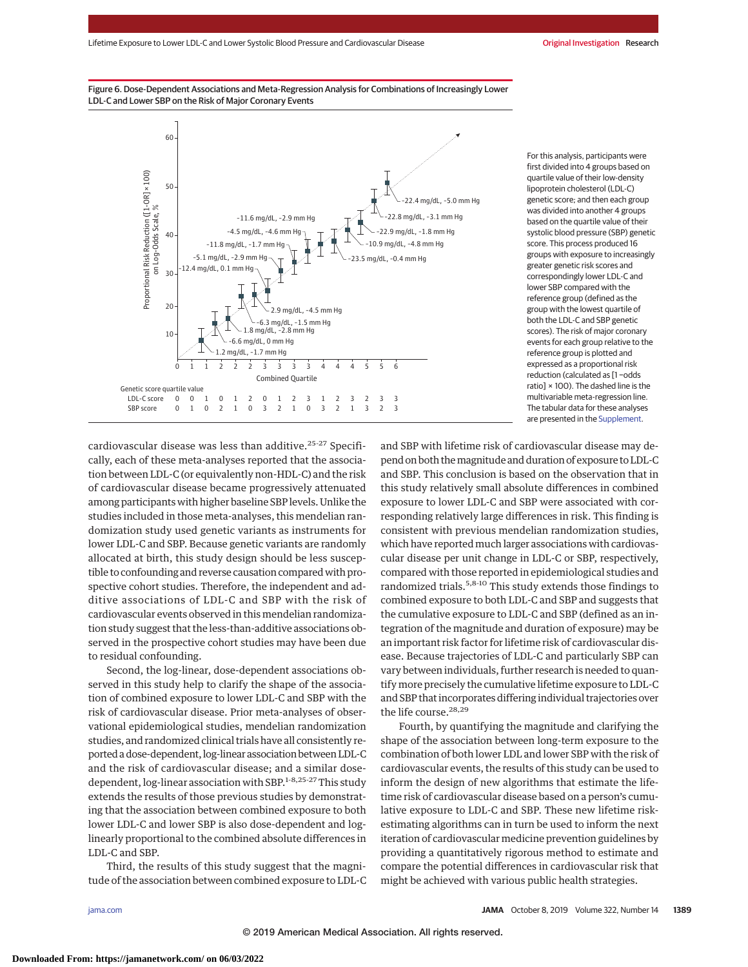



For this analysis, participants were first divided into 4 groups based on quartile value of their low-density lipoprotein cholesterol (LDL-C) genetic score; and then each group was divided into another 4 groups based on the quartile value of their systolic blood pressure (SBP) genetic score. This process produced 16 groups with exposure to increasingly greater genetic risk scores and correspondingly lower LDL-C and lower SBP compared with the reference group (defined as the group with the lowest quartile of both the LDL-C and SBP genetic scores). The risk of major coronary events for each group relative to the reference group is plotted and expressed as a proportional risk reduction (calculated as [1 −odds ratio] × 100). The dashed line is the multivariable meta-regression line. The tabular data for these analyses are presented in the [Supplement.](https://jama.jamanetwork.com/article.aspx?doi=10.1001/jama.2019.14120&utm_campaign=articlePDF%26utm_medium=articlePDFlink%26utm_source=articlePDF%26utm_content=jama.2019.14120)

cardiovascular disease was less than additive.25-27 Specifically, each of these meta-analyses reported that the association between LDL-C (or equivalently non-HDL-C) and the risk of cardiovascular disease became progressively attenuated among participants with higher baseline SBP levels. Unlike the studies included in those meta-analyses, this mendelian randomization study used genetic variants as instruments for lower LDL-C and SBP. Because genetic variants are randomly allocated at birth, this study design should be less susceptible to confounding and reverse causation compared with prospective cohort studies. Therefore, the independent and additive associations of LDL-C and SBP with the risk of cardiovascular events observed in this mendelian randomization study suggest that the less-than-additive associations observed in the prospective cohort studies may have been due to residual confounding.

Second, the log-linear, dose-dependent associations observed in this study help to clarify the shape of the association of combined exposure to lower LDL-C and SBP with the risk of cardiovascular disease. Prior meta-analyses of observational epidemiological studies, mendelian randomization studies, and randomized clinical trials have all consistently reported a dose-dependent, log-linear association between LDL-C and the risk of cardiovascular disease; and a similar dosedependent,  $log$ -linear association with SBP.<sup>1-8,25-27</sup> This study extends the results of those previous studies by demonstrating that the association between combined exposure to both lower LDL-C and lower SBP is also dose-dependent and loglinearly proportional to the combined absolute differences in LDL-C and SBP.

Third, the results of this study suggest that the magnitude of the association between combined exposure to LDL-C and SBP with lifetime risk of cardiovascular disease may depend on both themagnitude and duration of exposure to LDL-C and SBP. This conclusion is based on the observation that in this study relatively small absolute differences in combined exposure to lower LDL-C and SBP were associated with corresponding relatively large differences in risk. This finding is consistent with previous mendelian randomization studies, which have reported much larger associations with cardiovascular disease per unit change in LDL-C or SBP, respectively, compared with those reported in epidemiological studies and randomized trials.5,8-10 This study extends those findings to combined exposure to both LDL-C and SBP and suggests that the cumulative exposure to LDL-C and SBP (defined as an integration of the magnitude and duration of exposure) may be an important risk factor for lifetime risk of cardiovascular disease. Because trajectories of LDL-C and particularly SBP can vary between individuals, further research is needed to quantify more precisely the cumulative lifetime exposure to LDL-C and SBP that incorporates differing individual trajectories over the life course.<sup>28,29</sup>

Fourth, by quantifying the magnitude and clarifying the shape of the association between long-term exposure to the combination of both lower LDL and lower SBP with the risk of cardiovascular events, the results of this study can be used to inform the design of new algorithms that estimate the lifetime risk of cardiovascular disease based on a person's cumulative exposure to LDL-C and SBP. These new lifetime riskestimating algorithms can in turn be used to inform the next iteration of cardiovascular medicine prevention guidelines by providing a quantitatively rigorous method to estimate and compare the potential differences in cardiovascular risk that might be achieved with various public health strategies.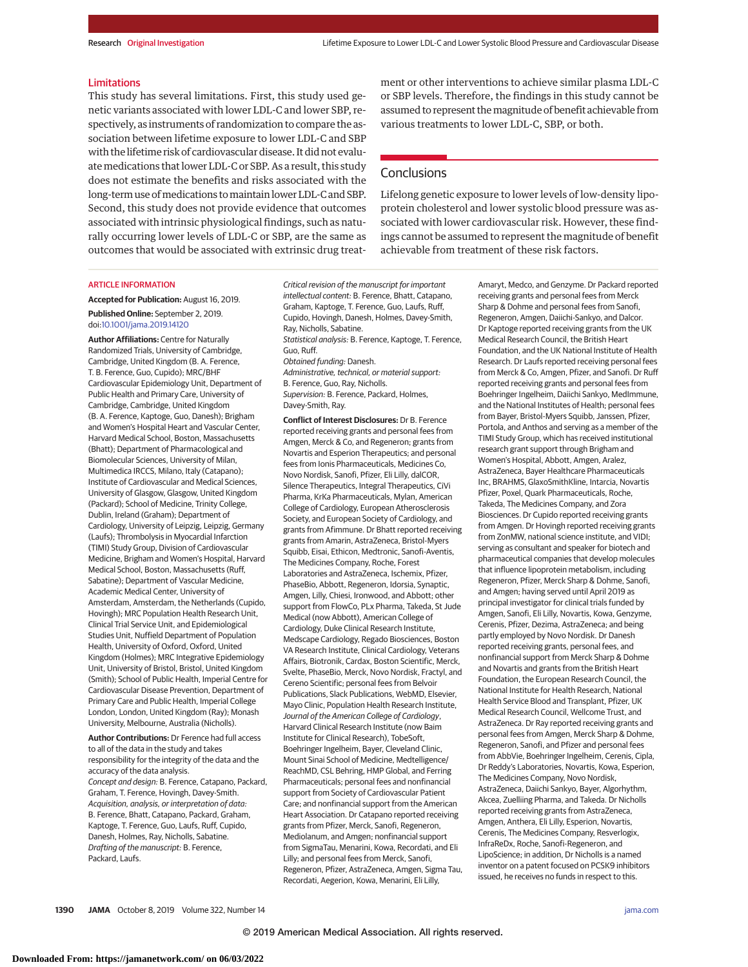#### **Limitations**

This study has several limitations. First, this study used genetic variants associated with lower LDL-C and lower SBP, respectively, as instruments of randomization to compare the association between lifetime exposure to lower LDL-C and SBP with the lifetime risk of cardiovascular disease. It did not evaluatemedications that lower LDL-C or SBP. As a result, this study does not estimate the benefits and risks associated with the long-term use of medications to maintain lower LDL-C and SBP. Second, this study does not provide evidence that outcomes associated with intrinsic physiological findings, such as naturally occurring lower levels of LDL-C or SBP, are the same as outcomes that would be associated with extrinsic drug treatment or other interventions to achieve similar plasma LDL-C or SBP levels. Therefore, the findings in this study cannot be assumed to represent the magnitude of benefit achievable from various treatments to lower LDL-C, SBP, or both.

## **Conclusions**

Lifelong genetic exposure to lower levels of low-density lipoprotein cholesterol and lower systolic blood pressure was associated with lower cardiovascular risk. However, these findings cannot be assumed to represent the magnitude of benefit achievable from treatment of these risk factors.

#### ARTICLE INFORMATION

**Accepted for Publication:** August 16, 2019. **Published Online:** September 2, 2019. doi[:10.1001/jama.2019.14120](https://jama.jamanetwork.com/article.aspx?doi=10.1001/jama.2019.14120&utm_campaign=articlePDF%26utm_medium=articlePDFlink%26utm_source=articlePDF%26utm_content=jama.2019.14120)

**Author Affiliations:** Centre for Naturally Randomized Trials, University of Cambridge, Cambridge, United Kingdom (B. A. Ference, T. B. Ference, Guo, Cupido); MRC/BHF Cardiovascular Epidemiology Unit, Department of Public Health and Primary Care, University of Cambridge, Cambridge, United Kingdom (B. A. Ference, Kaptoge, Guo, Danesh); Brigham and Women's Hospital Heart and Vascular Center, Harvard Medical School, Boston, Massachusetts (Bhatt); Department of Pharmacological and Biomolecular Sciences, University of Milan, Multimedica IRCCS, Milano, Italy (Catapano); Institute of Cardiovascular and Medical Sciences, University of Glasgow, Glasgow, United Kingdom (Packard); School of Medicine, Trinity College, Dublin, Ireland (Graham); Department of Cardiology, University of Leipzig, Leipzig, Germany (Laufs); Thrombolysis in Myocardial Infarction (TIMI) Study Group, Division of Cardiovascular Medicine, Brigham and Women's Hospital, Harvard Medical School, Boston, Massachusetts (Ruff, Sabatine); Department of Vascular Medicine, Academic Medical Center, University of Amsterdam, Amsterdam, the Netherlands (Cupido, Hovingh); MRC Population Health Research Unit, Clinical Trial Service Unit, and Epidemiological Studies Unit, Nuffield Department of Population Health, University of Oxford, Oxford, United Kingdom (Holmes); MRC Integrative Epidemiology Unit, University of Bristol, Bristol, United Kingdom (Smith); School of Public Health, Imperial Centre for Cardiovascular Disease Prevention, Department of Primary Care and Public Health, Imperial College London, London, United Kingdom (Ray); Monash University, Melbourne, Australia (Nicholls).

**Author Contributions:** Dr Ference had full access to all of the data in the study and takes responsibility for the integrity of the data and the accuracy of the data analysis. Concept and design: B. Ference, Catapano, Packard, Graham, T. Ference, Hovingh, Davey-Smith. Acquisition, analysis, or interpretation of data: B. Ference, Bhatt, Catapano, Packard, Graham, Kaptoge, T. Ference, Guo, Laufs, Ruff, Cupido, Danesh, Holmes, Ray, Nicholls, Sabatine. Drafting of the manuscript: B. Ference, Packard, Laufs.

Critical revision of the manuscript for important intellectual content: B. Ference, Bhatt, Catapano, Graham, Kaptoge, T. Ference, Guo, Laufs, Ruff, Cupido, Hovingh, Danesh, Holmes, Davey-Smith, Ray, Nicholls, Sabatine. Statistical analysis: B. Ference, Kaptoge, T. Ference, Guo, Ruff. Obtained funding: Danesh. Administrative, technical, or material support: B. Ference, Guo, Ray, Nicholls. Supervision: B. Ference, Packard, Holmes, Davey-Smith, Ray.

**Conflict of Interest Disclosures:** Dr B. Ference reported receiving grants and personal fees from Amgen, Merck & Co, and Regeneron; grants from Novartis and Esperion Therapeutics; and personal fees from Ionis Pharmaceuticals, Medicines Co, Novo Nordisk, Sanofi, Pfizer, Eli Lilly, dalCOR, Silence Therapeutics, Integral Therapeutics, CiVi Pharma, KrKa Pharmaceuticals, Mylan, American College of Cardiology, European Atherosclerosis Society, and European Society of Cardiology, and grants from Afimmune. Dr Bhatt reported receiving grants from Amarin, AstraZeneca, Bristol-Myers Squibb, Eisai, Ethicon, Medtronic, Sanofi-Aventis, The Medicines Company, Roche, Forest Laboratories and AstraZeneca, Ischemix, Pfizer, PhaseBio, Abbott, Regeneron, Idorsia, Synaptic, Amgen, Lilly, Chiesi, Ironwood, and Abbott; other support from FlowCo, PLx Pharma, Takeda, St Jude Medical (now Abbott), American College of Cardiology, Duke Clinical Research Institute, Medscape Cardiology, Regado Biosciences, Boston VA Research Institute, Clinical Cardiology, Veterans Affairs, Biotronik, Cardax, Boston Scientific, Merck, Svelte, PhaseBio, Merck, Novo Nordisk, Fractyl, and Cereno Scientific; personal fees from Belvoir Publications, Slack Publications, WebMD, Elsevier, Mayo Clinic, Population Health Research Institute, Journal of the American College of Cardiology, Harvard Clinical Research Institute (now Baim Institute for Clinical Research), TobeSoft, Boehringer Ingelheim, Bayer, Cleveland Clinic, Mount Sinai School of Medicine, Medtelligence/ ReachMD, CSL Behring, HMP Global, and Ferring Pharmaceuticals; personal fees and nonfinancial support from Society of Cardiovascular Patient Care; and nonfinancial support from the American Heart Association. Dr Catapano reported receiving grants from Pfizer, Merck, Sanofi, Regeneron, Mediolanum, and Amgen; nonfinancial support from SigmaTau, Menarini, Kowa, Recordati, and Eli Lilly; and personal fees from Merck, Sanofi, Regeneron, Pfizer, AstraZeneca, Amgen, Sigma Tau, Recordati, Aegerion, Kowa, Menarini, Eli Lilly,

Amaryt, Medco, and Genzyme. Dr Packard reported receiving grants and personal fees from Merck Sharp & Dohme and personal fees from Sanofi, Regeneron, Amgen, Daiichi-Sankyo, and Dalcor. Dr Kaptoge reported receiving grants from the UK Medical Research Council, the British Heart Foundation, and the UK National Institute of Health Research. Dr Laufs reported receiving personal fees from Merck & Co, Amgen, Pfizer, and Sanofi. Dr Ruff reported receiving grants and personal fees from Boehringer Ingelheim, Daiichi Sankyo, MedImmune, and the National Institutes of Health; personal fees from Bayer, Bristol-Myers Squibb, Janssen, Pfizer, Portola, and Anthos and serving as a member of the TIMI Study Group, which has received institutional research grant support through Brigham and Women's Hospital, Abbott, Amgen, Aralez, AstraZeneca, Bayer Healthcare Pharmaceuticals Inc, BRAHMS, GlaxoSmithKline, Intarcia, Novartis Pfizer, Poxel, Quark Pharmaceuticals, Roche, Takeda, The Medicines Company, and Zora Biosciences. Dr Cupido reported receiving grants from Amgen. Dr Hovingh reported receiving grants from ZonMW, national science institute, and VIDI; serving as consultant and speaker for biotech and pharmaceutical companies that develop molecules that influence lipoprotein metabolism, including Regeneron, Pfizer, Merck Sharp & Dohme, Sanofi, and Amgen; having served until April 2019 as principal investigator for clinical trials funded by Amgen, Sanofi, Eli Lilly, Novartis, Kowa, Genzyme, Cerenis, Pfizer, Dezima, AstraZeneca; and being partly employed by Novo Nordisk. Dr Danesh reported receiving grants, personal fees, and nonfinancial support from Merck Sharp & Dohme and Novartis and grants from the British Heart Foundation, the European Research Council, the National Institute for Health Research, National Health Service Blood and Transplant, Pfizer, UK Medical Research Council, Wellcome Trust, and AstraZeneca. Dr Ray reported receiving grants and personal fees from Amgen, Merck Sharp & Dohme, Regeneron, Sanofi, and Pfizer and personal fees from AbbVie, Boehringer Ingelheim, Cerenis, Cipla, Dr Reddy's Laboratories, Novartis, Kowa, Esperion, The Medicines Company, Novo Nordisk, AstraZeneca, Daiichi Sankyo, Bayer, Algorhythm, Akcea, Zuelliing Pharma, and Takeda. Dr Nicholls reported receiving grants from AstraZeneca, Amgen, Anthera, Eli Lilly, Esperion, Novartis, Cerenis, The Medicines Company, Resverlogix, InfraReDx, Roche, Sanofi-Regeneron, and LipoScience; in addition, Dr Nicholls is a named inventor on a patent focused on PCSK9 inhibitors issued, he receives no funds in respect to this.